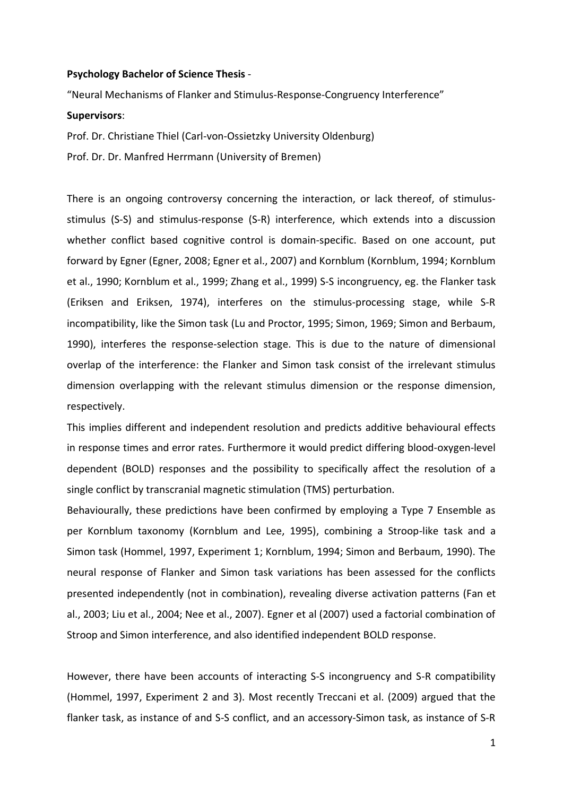## **Psychology Bachelor of Science Thesis** -

"Neural Mechanisms of Flanker and Stimulus-Response-Congruency Interference"

## **Supervisors**:

Prof. Dr. Christiane Thiel (Carl-von-Ossietzky University Oldenburg)

Prof. Dr. Dr. Manfred Herrmann (University of Bremen)

There is an ongoing controversy concerning the interaction, or lack thereof, of stimulusstimulus (S-S) and stimulus-response (S-R) interference, which extends into a discussion whether conflict based cognitive control is domain-specific. Based on one account, put forward by Egner (Egner, 2008; Egner et al., 2007) and Kornblum (Kornblum, 1994; Kornblum et al., 1990; Kornblum et al., 1999; Zhang et al., 1999) S-S incongruency, eg. the Flanker task (Eriksen and Eriksen, 1974), interferes on the stimulus-processing stage, while S-R incompatibility, like the Simon task (Lu and Proctor, 1995; Simon, 1969; Simon and Berbaum, 1990), interferes the response-selection stage. This is due to the nature of dimensional overlap of the interference: the Flanker and Simon task consist of the irrelevant stimulus dimension overlapping with the relevant stimulus dimension or the response dimension, respectively.

This implies different and independent resolution and predicts additive behavioural effects in response times and error rates. Furthermore it would predict differing blood-oxygen-level dependent (BOLD) responses and the possibility to specifically affect the resolution of a single conflict by transcranial magnetic stimulation (TMS) perturbation.

Behaviourally, these predictions have been confirmed by employing a Type 7 Ensemble as per Kornblum taxonomy (Kornblum and Lee, 1995), combining a Stroop-like task and a Simon task (Hommel, 1997, Experiment 1; Kornblum, 1994; Simon and Berbaum, 1990). The neural response of Flanker and Simon task variations has been assessed for the conflicts presented independently (not in combination), revealing diverse activation patterns (Fan et al., 2003; Liu et al., 2004; Nee et al., 2007). Egner et al (2007) used a factorial combination of Stroop and Simon interference, and also identified independent BOLD response.

However, there have been accounts of interacting S-S incongruency and S-R compatibility (Hommel, 1997, Experiment 2 and 3). Most recently Treccani et al. (2009) argued that the flanker task, as instance of and S-S conflict, and an accessory-Simon task, as instance of S-R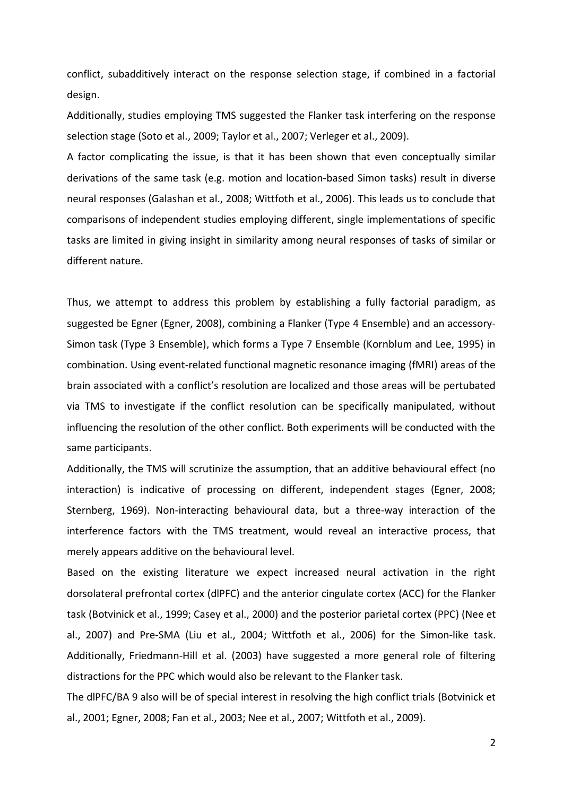conflict, subadditively interact on the response selection stage, if combined in a factorial design.

Additionally, studies employing TMS suggested the Flanker task interfering on the response selection stage (Soto et al., 2009; Taylor et al., 2007; Verleger et al., 2009).

A factor complicating the issue, is that it has been shown that even conceptually similar derivations of the same task (e.g. motion and location-based Simon tasks) result in diverse neural responses (Galashan et al., 2008; Wittfoth et al., 2006). This leads us to conclude that comparisons of independent studies employing different, single implementations of specific tasks are limited in giving insight in similarity among neural responses of tasks of similar or different nature.

Thus, we attempt to address this problem by establishing a fully factorial paradigm, as suggested be Egner (Egner, 2008), combining a Flanker (Type 4 Ensemble) and an accessory-Simon task (Type 3 Ensemble), which forms a Type 7 Ensemble (Kornblum and Lee, 1995) in combination. Using event-related functional magnetic resonance imaging (fMRI) areas of the brain associated with a conflict's resolution are localized and those areas will be pertubated via TMS to investigate if the conflict resolution can be specifically manipulated, without influencing the resolution of the other conflict. Both experiments will be conducted with the same participants.

Additionally, the TMS will scrutinize the assumption, that an additive behavioural effect (no interaction) is indicative of processing on different, independent stages (Egner, 2008; Sternberg, 1969). Non-interacting behavioural data, but a three-way interaction of the interference factors with the TMS treatment, would reveal an interactive process, that merely appears additive on the behavioural level.

Based on the existing literature we expect increased neural activation in the right dorsolateral prefrontal cortex (dlPFC) and the anterior cingulate cortex (ACC) for the Flanker task (Botvinick et al., 1999; Casey et al., 2000) and the posterior parietal cortex (PPC) (Nee et al., 2007) and Pre-SMA (Liu et al., 2004; Wittfoth et al., 2006) for the Simon-like task. Additionally, Friedmann-Hill et al. (2003) have suggested a more general role of filtering distractions for the PPC which would also be relevant to the Flanker task.

The dlPFC/BA 9 also will be of special interest in resolving the high conflict trials (Botvinick et al., 2001; Egner, 2008; Fan et al., 2003; Nee et al., 2007; Wittfoth et al., 2009).

2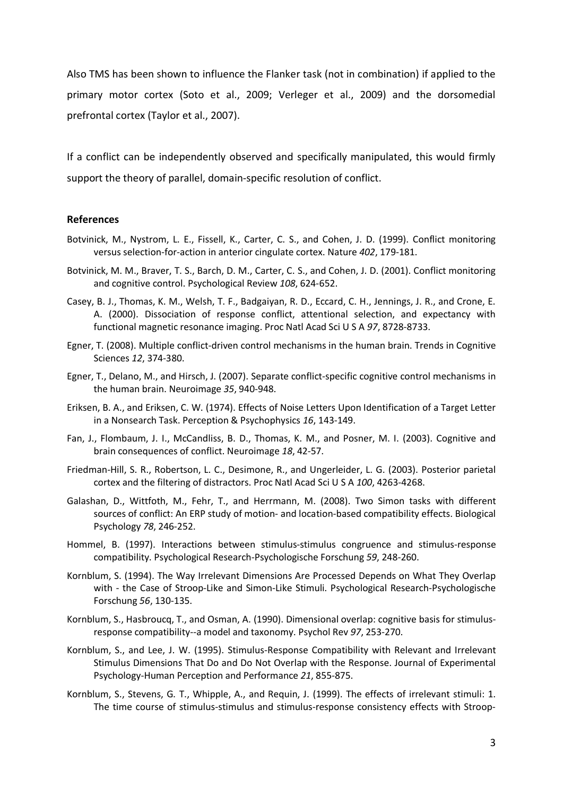Also TMS has been shown to influence the Flanker task (not in combination) if applied to the primary motor cortex (Soto et al., 2009; Verleger et al., 2009) and the dorsomedial prefrontal cortex (Taylor et al., 2007).

If a conflict can be independently observed and specifically manipulated, this would firmly support the theory of parallel, domain-specific resolution of conflict.

## **References**

- Botvinick, M., Nystrom, L. E., Fissell, K., Carter, C. S., and Cohen, J. D. (1999). Conflict monitoring versus selection-for-action in anterior cingulate cortex. Nature *402*, 179-181.
- Botvinick, M. M., Braver, T. S., Barch, D. M., Carter, C. S., and Cohen, J. D. (2001). Conflict monitoring and cognitive control. Psychological Review *108*, 624-652.
- Casey, B. J., Thomas, K. M., Welsh, T. F., Badgaiyan, R. D., Eccard, C. H., Jennings, J. R., and Crone, E. A. (2000). Dissociation of response conflict, attentional selection, and expectancy with functional magnetic resonance imaging. Proc Natl Acad Sci U S A *97*, 8728-8733.
- Egner, T. (2008). Multiple conflict-driven control mechanisms in the human brain. Trends in Cognitive Sciences *12*, 374-380.
- Egner, T., Delano, M., and Hirsch, J. (2007). Separate conflict-specific cognitive control mechanisms in the human brain. Neuroimage *35*, 940-948.
- Eriksen, B. A., and Eriksen, C. W. (1974). Effects of Noise Letters Upon Identification of a Target Letter in a Nonsearch Task. Perception & Psychophysics *16*, 143-149.
- Fan, J., Flombaum, J. I., McCandliss, B. D., Thomas, K. M., and Posner, M. I. (2003). Cognitive and brain consequences of conflict. Neuroimage *18*, 42-57.
- Friedman-Hill, S. R., Robertson, L. C., Desimone, R., and Ungerleider, L. G. (2003). Posterior parietal cortex and the filtering of distractors. Proc Natl Acad Sci U S A *100*, 4263-4268.
- Galashan, D., Wittfoth, M., Fehr, T., and Herrmann, M. (2008). Two Simon tasks with different sources of conflict: An ERP study of motion- and location-based compatibility effects. Biological Psychology *78*, 246-252.
- Hommel, B. (1997). Interactions between stimulus-stimulus congruence and stimulus-response compatibility. Psychological Research-Psychologische Forschung *59*, 248-260.
- Kornblum, S. (1994). The Way Irrelevant Dimensions Are Processed Depends on What They Overlap with - the Case of Stroop-Like and Simon-Like Stimuli. Psychological Research-Psychologische Forschung *56*, 130-135.
- Kornblum, S., Hasbroucq, T., and Osman, A. (1990). Dimensional overlap: cognitive basis for stimulusresponse compatibility--a model and taxonomy. Psychol Rev *97*, 253-270.
- Kornblum, S., and Lee, J. W. (1995). Stimulus-Response Compatibility with Relevant and Irrelevant Stimulus Dimensions That Do and Do Not Overlap with the Response. Journal of Experimental Psychology-Human Perception and Performance *21*, 855-875.
- Kornblum, S., Stevens, G. T., Whipple, A., and Requin, J. (1999). The effects of irrelevant stimuli: 1. The time course of stimulus-stimulus and stimulus-response consistency effects with Stroop-